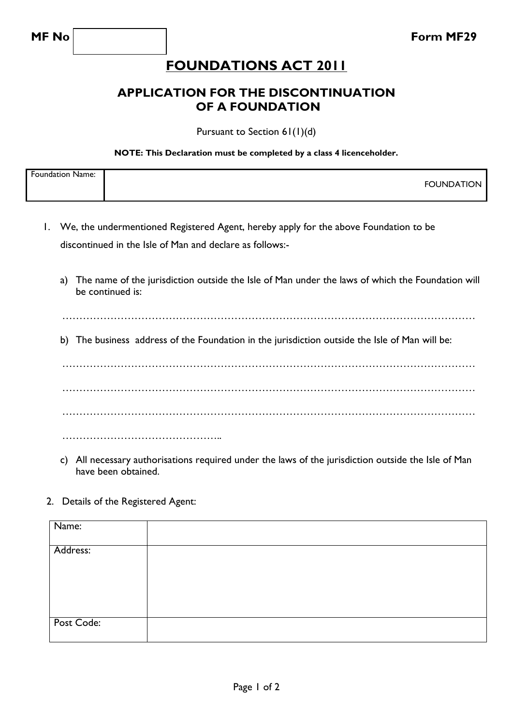## **FOUNDATIONS ACT 2011**

## **APPLICATION FOR THE DISCONTINUATION OF A FOUNDATION**

Pursuant to Section 61(1)(d)

## **NOTE: This Declaration must be completed by a class 4 licenceholder.**

| <b>Foundation Name:</b> |                         |
|-------------------------|-------------------------|
|                         | <b>FOUNDATIC</b><br>.JN |
|                         |                         |

- 1. We, the undermentioned Registered Agent, hereby apply for the above Foundation to be discontinued in the Isle of Man and declare as follows:
	- a) The name of the jurisdiction outside the Isle of Man under the laws of which the Foundation will be continued is:

…………………………………………………………………………………………………………

b) The business address of the Foundation in the jurisdiction outside the Isle of Man will be:

………………………………………………………………………………………………………… ………………………………………………………………………………………………………… ………………………………………………………………………………………………………… ………………………………………..

- c) All necessary authorisations required under the laws of the jurisdiction outside the Isle of Man have been obtained.
- 2. Details of the Registered Agent:

| Name:      |  |
|------------|--|
| Address:   |  |
|            |  |
|            |  |
| Post Code: |  |